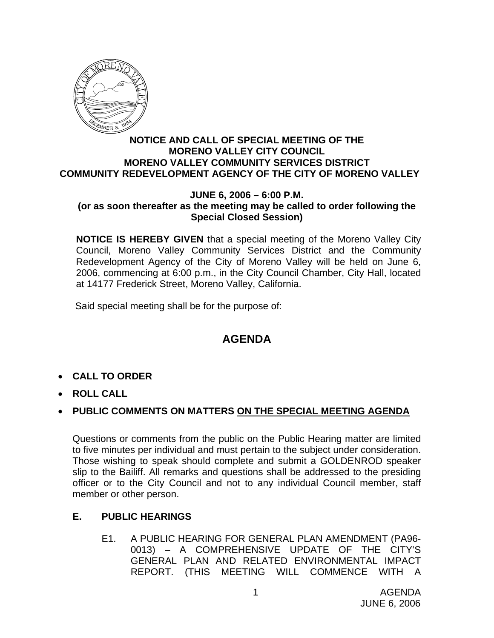

#### **NOTICE AND CALL OF SPECIAL MEETING OF THE MORENO VALLEY CITY COUNCIL MORENO VALLEY COMMUNITY SERVICES DISTRICT COMMUNITY REDEVELOPMENT AGENCY OF THE CITY OF MORENO VALLEY**

#### **JUNE 6, 2006 – 6:00 P.M. (or as soon thereafter as the meeting may be called to order following the Special Closed Session)**

**NOTICE IS HEREBY GIVEN** that a special meeting of the Moreno Valley City Council, Moreno Valley Community Services District and the Community Redevelopment Agency of the City of Moreno Valley will be held on June 6, 2006, commencing at 6:00 p.m., in the City Council Chamber, City Hall, located at 14177 Frederick Street, Moreno Valley, California.

Said special meeting shall be for the purpose of:

# **AGENDA**

- **CALL TO ORDER**
- **ROLL CALL**

## • **PUBLIC COMMENTS ON MATTERS ON THE SPECIAL MEETING AGENDA**

Questions or comments from the public on the Public Hearing matter are limited to five minutes per individual and must pertain to the subject under consideration. Those wishing to speak should complete and submit a GOLDENROD speaker slip to the Bailiff. All remarks and questions shall be addressed to the presiding officer or to the City Council and not to any individual Council member, staff member or other person.

## **E. PUBLIC HEARINGS**

E1. A PUBLIC HEARING FOR GENERAL PLAN AMENDMENT (PA96- 0013) – A COMPREHENSIVE UPDATE OF THE CITY'S GENERAL PLAN AND RELATED ENVIRONMENTAL IMPACT REPORT. (THIS MEETING WILL COMMENCE WITH A